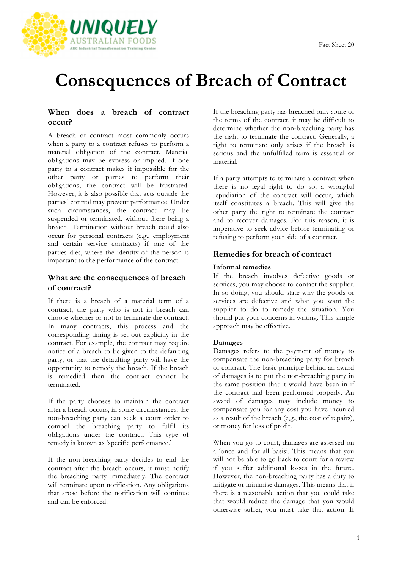

# **Consequences of Breach of Contract**

## **When does a breach of contract occur?**

A breach of contract most commonly occurs when a party to a contract refuses to perform a material obligation of the contract. Material obligations may be express or implied. If one party to a contract makes it impossible for the other party or parties to perform their obligations, the contract will be frustrated. However, it is also possible that acts outside the parties' control may prevent performance. Under such circumstances, the contract may be suspended or terminated, without there being a breach. Termination without breach could also occur for personal contracts (e.g., employment and certain service contracts) if one of the parties dies, where the identity of the person is important to the performance of the contract.

# **What are the consequences of breach of contract?**

If there is a breach of a material term of a contract, the party who is not in breach can choose whether or not to terminate the contract. In many contracts, this process and the corresponding timing is set out explicitly in the contract. For example, the contract may require notice of a breach to be given to the defaulting party, or that the defaulting party will have the opportunity to remedy the breach. If the breach is remedied then the contract cannot be terminated.

If the party chooses to maintain the contract after a breach occurs, in some circumstances, the non-breaching party can seek a court order to compel the breaching party to fulfil its obligations under the contract. This type of remedy is known as 'specific performance.'

If the non-breaching party decides to end the contract after the breach occurs, it must notify the breaching party immediately. The contract will terminate upon notification. Any obligations that arose before the notification will continue and can be enforced.

If the breaching party has breached only some of the terms of the contract, it may be difficult to determine whether the non-breaching party has the right to terminate the contract. Generally, a right to terminate only arises if the breach is serious and the unfulfilled term is essential or material.

If a party attempts to terminate a contract when there is no legal right to do so, a wrongful repudiation of the contract will occur, which itself constitutes a breach. This will give the other party the right to terminate the contract and to recover damages. For this reason, it is imperative to seek advice before terminating or refusing to perform your side of a contract.

# **Remedies for breach of contract**

## **Informal remedies**

If the breach involves defective goods or services, you may choose to contact the supplier. In so doing, you should state why the goods or services are defective and what you want the supplier to do to remedy the situation. You should put your concerns in writing. This simple approach may be effective.

### **Damages**

Damages refers to the payment of money to compensate the non-breaching party for breach of contract. The basic principle behind an award of damages is to put the non-breaching party in the same position that it would have been in if the contract had been performed properly. An award of damages may include money to compensate you for any cost you have incurred as a result of the breach (e,g., the cost of repairs), or money for loss of profit.

When you go to court, damages are assessed on a 'once and for all basis'. This means that you will not be able to go back to court for a review if you suffer additional losses in the future. However, the non-breaching party has a duty to mitigate or minimise damages. This means that if there is a reasonable action that you could take that would reduce the damage that you would otherwise suffer, you must take that action. If